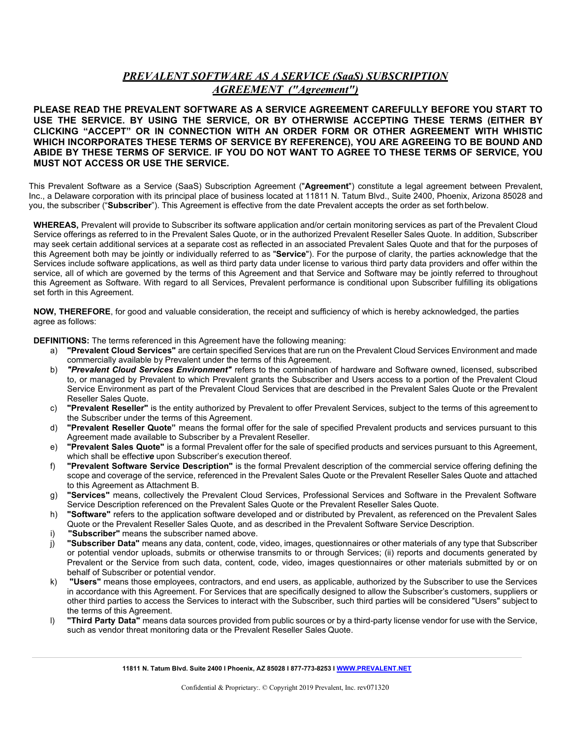# *PREVALENT SOFTWARE AS A SERVICE (SaaS) SUBSCRIPTION AGREEMENT ("Agreement")*

**PLEASE READ THE PREVALENT SOFTWARE AS A SERVICE AGREEMENT CAREFULLY BEFORE YOU START TO USE THE SERVICE. BY USING THE SERVICE, OR BY OTHERWISE ACCEPTING THESE TERMS (EITHER BY CLICKING "ACCEPT" OR IN CONNECTION WITH AN ORDER FORM OR OTHER AGREEMENT WITH WHISTIC WHICH INCORPORATES THESE TERMS OF SERVICE BY REFERENCE), YOU ARE AGREEING TO BE BOUND AND ABIDE BY THESE TERMS OF SERVICE. IF YOU DO NOT WANT TO AGREE TO THESE TERMS OF SERVICE, YOU MUST NOT ACCESS OR USE THE SERVICE.**

This Prevalent Software as a Service (SaaS) Subscription Agreement ("**Agreement**") constitute a legal agreement between Prevalent, Inc., a Delaware corporation with its principal place of business located at 11811 N. Tatum Blvd., Suite 2400, Phoenix, Arizona 85028 and you, the subscriber ("**Subscriber**"). This Agreement is effective from the date Prevalent accepts the order as set forthbelow.

**WHEREAS,** Prevalent will provide to Subscriber its software application and/or certain monitoring services as part of the Prevalent Cloud Service offerings as referred to in the Prevalent Sales Quote, or in the authorized Prevalent Reseller Sales Quote. In addition, Subscriber may seek certain additional services at a separate cost as reflected in an associated Prevalent Sales Quote and that for the purposes of this Agreement both may be jointly or individually referred to as "**Service**"). For the purpose of clarity, the parties acknowledge that the Services include software applications, as well as third party data under license to various third party data providers and offer within the service, all of which are governed by the terms of this Agreement and that Service and Software may be jointly referred to throughout this Agreement as Software. With regard to all Services, Prevalent performance is conditional upon Subscriber fulfilling its obligations set forth in this Agreement.

**NOW, THEREFORE**, for good and valuable consideration, the receipt and sufficiency of which is hereby acknowledged, the parties agree as follows:

**DEFINITIONS:** The terms referenced in this Agreement have the following meaning:

- a) **"Prevalent Cloud Services"** are certain specified Services that are run on the Prevalent Cloud Services Environment and made commercially available by Prevalent under the terms of this Agreement.
- b) *"Prevalent Cloud Services Environment"* refers to the combination of hardware and Software owned, licensed, subscribed to, or managed by Prevalent to which Prevalent grants the Subscriber and Users access to a portion of the Prevalent Cloud Service Environment as part of the Prevalent Cloud Services that are described in the Prevalent Sales Quote or the Prevalent Reseller Sales Quote.
- c) **"Prevalent Reseller"** is the entity authorized by Prevalent to offer Prevalent Services, subject to the terms of this agreement to the Subscriber under the terms of this Agreement.
- d) **"Prevalent Reseller Quote"** means the formal offer for the sale of specified Prevalent products and services pursuant to this Agreement made available to Subscriber by a Prevalent Reseller.
- e) **"Prevalent Sales Quote"** is a formal Prevalent offer for the sale of specified products and services pursuant to this Agreement, which shall be effecti*ve* upon Subscriber's execution thereof.
- f) **"Prevalent Software Service Description"** is the formal Prevalent description of the commercial service offering defining the scope and coverage of the service, referenced in the Prevalent Sales Quote or the Prevalent Reseller Sales Quote and attached to this Agreement as Attachment B.
- g) **"Services"** means, collectively the Prevalent Cloud Services, Professional Services and Software in the Prevalent Software Service Description referenced on the Prevalent Sales Quote or the Prevalent Reseller Sales Quote.
- h) **"Software"** refers to the application software developed and or distributed by Prevalent, as referenced on the Prevalent Sales Quote or the Prevalent Reseller Sales Quote, and as described in the Prevalent Software Service Description.
- i) **"Subscriber"** means the subscriber named above.
- j) **"Subscriber Data"** means any data, content, code, video, images, questionnaires or other materials of any type that Subscriber or potential vendor uploads, submits or otherwise transmits to or through Services; (ii) reports and documents generated by Prevalent or the Service from such data, content, code, video, images questionnaires or other materials submitted by or on behalf of Subscriber or potential vendor.
- k) **"Users"** means those employees, contractors, and end users, as applicable, authorized by the Subscriber to use the Services in accordance with this Agreement. For Services that are specifically designed to allow the Subscriber's customers, suppliers or other third parties to access the Services to interact with the Subscriber, such third parties will be considered "Users" subject to the terms of this Agreement.
- l) **"Third Party Data"** means data sources provided from public sources or by a third-party license vendor for use with the Service, such as vendor threat monitoring data or the Prevalent Reseller Sales Quote.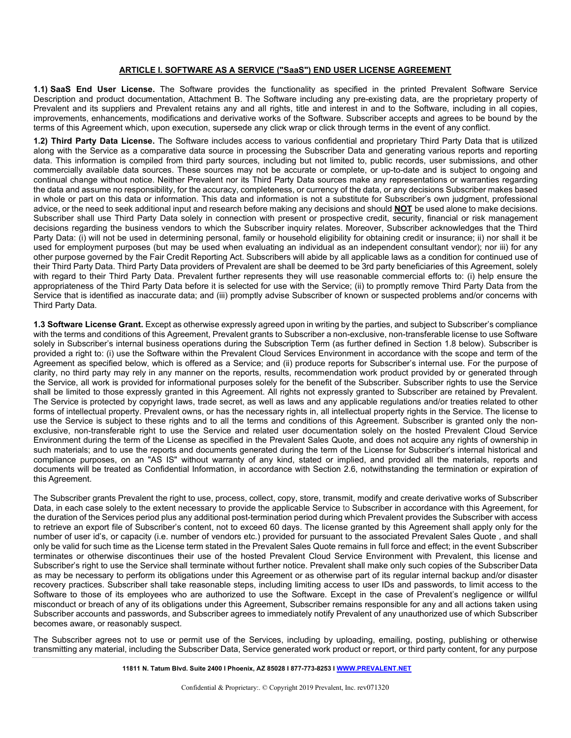## **ARTICLE I. SOFTWARE AS A SERVICE ("SaaS") END USER LICENSE AGREEMENT**

**1.1) SaaS End User License.** The Software provides the functionality as specified in the printed Prevalent Software Service Description and product documentation, Attachment B. The Software including any pre-existing data, are the proprietary property of Prevalent and its suppliers and Prevalent retains any and all rights, title and interest in and to the Software, including in all copies, improvements, enhancements, modifications and derivative works of the Software. Subscriber accepts and agrees to be bound by the terms of this Agreement which, upon execution, supersede any click wrap or click through terms in the event of any conflict.

**1.2) Third Party Data License.** The Software includes access to various confidential and proprietary Third Party Data that is utilized along with the Service as a comparative data source in processing the Subscriber Data and generating various reports and reporting data. This information is compiled from third party sources, including but not limited to, public records, user submissions, and other commercially available data sources. These sources may not be accurate or complete, or up-to-date and is subject to ongoing and continual change without notice. Neither Prevalent nor its Third Party Data sources make any representations or warranties regarding the data and assume no responsibility, for the accuracy, completeness, or currency of the data, or any decisions Subscriber makes based in whole or part on this data or information. This data and information is not a substitute for Subscriber's own judgment, professional advice, or the need to seek additional input and research before making any decisions and should **NOT** be used alone to make decisions. Subscriber shall use Third Party Data solely in connection with present or prospective credit, security, financial or risk management decisions regarding the business vendors to which the Subscriber inquiry relates. Moreover, Subscriber acknowledges that the Third Party Data: (i) will not be used in determining personal, family or household eligibility for obtaining credit or insurance; ii) nor shall it be used for employment purposes (but may be used when evaluating an individual as an independent consultant vendor); nor iii) for any other purpose governed by the Fair Credit Reporting Act. Subscribers will abide by all applicable laws as a condition for continued use of their Third Party Data. Third Party Data providers of Prevalent are shall be deemed to be 3rd party beneficiaries of this Agreement, solely with regard to their Third Party Data. Prevalent further represents they will use reasonable commercial efforts to: (i) help ensure the appropriateness of the Third Party Data before it is selected for use with the Service; (ii) to promptly remove Third Party Data from the Service that is identified as inaccurate data; and (iii) promptly advise Subscriber of known or suspected problems and/or concerns with Third Party Data.

**1.3 Software License Grant.** Except as otherwise expressly agreed upon in writing by the parties, and subject to Subscriber's compliance with the terms and conditions of this Agreement, Prevalent grants to Subscriber a non-exclusive, non-transferable license to use Software solely in Subscriber's internal business operations during the Subscription Term (as further defined in Section 1.8 below). Subscriber is provided a right to: (i) use the Software within the Prevalent Cloud Services Environment in accordance with the scope and term of the Agreement as specified below, which is offered as a Service; and (ii) produce reports for Subscriber's internal use. For the purpose of clarity, no third party may rely in any manner on the reports, results, recommendation work product provided by or generated through the Service, all work is provided for informational purposes solely for the benefit of the Subscriber. Subscriber rights to use the Service shall be limited to those expressly granted in this Agreement. All rights not expressly granted to Subscriber are retained by Prevalent. The Service is protected by copyright laws, trade secret, as well as laws and any applicable regulations and/or treaties related to other forms of intellectual property. Prevalent owns, or has the necessary rights in, all intellectual property rights in the Service. The license to use the Service is subject to these rights and to all the terms and conditions of this Agreement. Subscriber is granted only the nonexclusive, non-transferable right to use the Service and related user documentation solely on the hosted Prevalent Cloud Service Environment during the term of the License as specified in the Prevalent Sales Quote, and does not acquire any rights of ownership in such materials; and to use the reports and documents generated during the term of the License for Subscriber's internal historical and compliance purposes, on an "AS IS" without warranty of any kind, stated or implied, and provided all the materials, reports and documents will be treated as Confidential Information, in accordance with Section 2.6, notwithstanding the termination or expiration of this Agreement.

The Subscriber grants Prevalent the right to use, process, collect, copy, store, transmit, modify and create derivative works of Subscriber Data, in each case solely to the extent necessary to provide the applicable Service to Subscriber in accordance with this Agreement, for the duration of the Services period plus any additional post-termination period during which Prevalent provides the Subscriber with access to retrieve an export file of Subscriber's content, not to exceed 60 days. The license granted by this Agreement shall apply only for the number of user id's, or capacity (i.e. number of vendors etc.) provided for pursuant to the associated Prevalent Sales Quote , and shall only be valid for such time as the License term stated in the Prevalent Sales Quote remains in full force and effect; in the event Subscriber terminates or otherwise discontinues their use of the hosted Prevalent Cloud Service Environment with Prevalent, this license and Subscriber's right to use the Service shall terminate without further notice. Prevalent shall make only such copies of the Subscriber Data as may be necessary to perform its obligations under this Agreement or as otherwise part of its regular internal backup and/or disaster recovery practices. Subscriber shall take reasonable steps, including limiting access to user IDs and passwords, to limit access to the Software to those of its employees who are authorized to use the Software. Except in the case of Prevalent's negligence or willful misconduct or breach of any of its obligations under this Agreement, Subscriber remains responsible for any and all actions taken using Subscriber accounts and passwords, and Subscriber agrees to immediately notify Prevalent of any unauthorized use of which Subscriber becomes aware, or reasonably suspect.

The Subscriber agrees not to use or permit use of the Services, including by uploading, emailing, posting, publishing or otherwise transmitting any material, including the Subscriber Data, Service generated work product or report, or third party content, for any purpose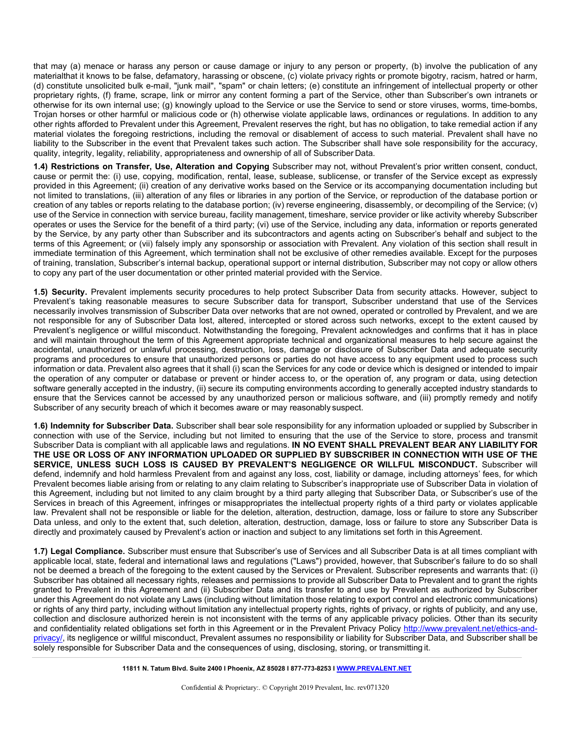that may (a) menace or harass any person or cause damage or injury to any person or property, (b) involve the publication of any materialthat it knows to be false, defamatory, harassing or obscene, (c) violate privacy rights or promote bigotry, racism, hatred or harm, (d) constitute unsolicited bulk e-mail, "junk mail", "spam" or chain letters; (e) constitute an infringement of intellectual property or other proprietary rights, (f) frame, scrape, link or mirror any content forming a part of the Service, other than Subscriber's own intranets or otherwise for its own internal use; (g) knowingly upload to the Service or use the Service to send or store viruses, worms, time-bombs, Trojan horses or other harmful or malicious code or (h) otherwise violate applicable laws, ordinances or regulations. In addition to any other rights afforded to Prevalent under this Agreement, Prevalent reserves the right, but has no obligation, to take remedial action if any material violates the foregoing restrictions, including the removal or disablement of access to such material. Prevalent shall have no liability to the Subscriber in the event that Prevalent takes such action. The Subscriber shall have sole responsibility for the accuracy, quality, integrity, legality, reliability, appropriateness and ownership of all of Subscriber Data.

**1.4) Restrictions on Transfer, Use, Alteration and Copying** Subscriber may not, without Prevalent's prior written consent, conduct, cause or permit the: (i) use, copying, modification, rental, lease, sublease, sublicense, or transfer of the Service except as expressly provided in this Agreement; (ii) creation of any derivative works based on the Service or its accompanying documentation including but not limited to translations, (iii) alteration of any files or libraries in any portion of the Service, or reproduction of the database portion or creation of any tables or reports relating to the database portion; (iv) reverse engineering, disassembly, or decompiling of the Service; (v) use of the Service in connection with service bureau, facility management, timeshare, service provider or like activity whereby Subscriber operates or uses the Service for the benefit of a third party; (vi) use of the Service, including any data, information or reports generated by the Service, by any party other than Subscriber and its subcontractors and agents acting on Subscriber's behalf and subject to the terms of this Agreement; or (vii) falsely imply any sponsorship or association with Prevalent. Any violation of this section shall result in immediate termination of this Agreement, which termination shall not be exclusive of other remedies available. Except for the purposes of training, translation, Subscriber's internal backup, operational support or internal distribution, Subscriber may not copy or allow others to copy any part of the user documentation or other printed material provided with the Service.

**1.5) Security.** Prevalent implements security procedures to help protect Subscriber Data from security attacks. However, subject to Prevalent's taking reasonable measures to secure Subscriber data for transport, Subscriber understand that use of the Services necessarily involves transmission of Subscriber Data over networks that are not owned, operated or controlled by Prevalent, and we are not responsible for any of Subscriber Data lost, altered, intercepted or stored across such networks, except to the extent caused by Prevalent's negligence or willful misconduct. Notwithstanding the foregoing, Prevalent acknowledges and confirms that it has in place and will maintain throughout the term of this Agreement appropriate technical and organizational measures to help secure against the accidental, unauthorized or unlawful processing, destruction, loss, damage or disclosure of Subscriber Data and adequate security programs and procedures to ensure that unauthorized persons or parties do not have access to any equipment used to process such information or data. Prevalent also agrees that it shall (i) scan the Services for any code or device which is designed or intended to impair the operation of any computer or database or prevent or hinder access to, or the operation of, any program or data, using detection software generally accepted in the industry, (ii) secure its computing environments according to generally accepted industry standards to ensure that the Services cannot be accessed by any unauthorized person or malicious software, and (iii) promptly remedy and notify Subscriber of any security breach of which it becomes aware or may reasonably suspect.

**1.6) Indemnity for Subscriber Data.** Subscriber shall bear sole responsibility for any information uploaded or supplied by Subscriber in connection with use of the Service, including but not limited to ensuring that the use of the Service to store, process and transmit Subscriber Data is compliant with all applicable laws and regulations. **IN NO EVENT SHALL PREVALENT BEAR ANY LIABILITY FOR THE USE OR LOSS OF ANY INFORMATION UPLOADED OR SUPPLIED BY SUBSCRIBER IN CONNECTION WITH USE OF THE SERVICE, UNLESS SUCH LOSS IS CAUSED BY PREVALENT'S NEGLIGENCE OR WILLFUL MISCONDUCT.** Subscriber will defend, indemnify and hold harmless Prevalent from and against any loss, cost, liability or damage, including attorneys' fees, for which Prevalent becomes liable arising from or relating to any claim relating to Subscriber's inappropriate use of Subscriber Data in violation of this Agreement, including but not limited to any claim brought by a third party alleging that Subscriber Data, or Subscriber's use of the Services in breach of this Agreement, infringes or misappropriates the intellectual property rights of a third party or violates applicable law. Prevalent shall not be responsible or liable for the deletion, alteration, destruction, damage, loss or failure to store any Subscriber Data unless, and only to the extent that, such deletion, alteration, destruction, damage, loss or failure to store any Subscriber Data is directly and proximately caused by Prevalent's action or inaction and subject to any limitations set forth in this Agreement.

**1.7) Legal Compliance.** Subscriber must ensure that Subscriber's use of Services and all Subscriber Data is at all times compliant with applicable local, state, federal and international laws and regulations ("Laws") provided, however, that Subscriber's failure to do so shall not be deemed a breach of the foregoing to the extent caused by the Services or Prevalent. Subscriber represents and warrants that: (i) Subscriber has obtained all necessary rights, releases and permissions to provide all Subscriber Data to Prevalent and to grant the rights granted to Prevalent in this Agreement and (ii) Subscriber Data and its transfer to and use by Prevalent as authorized by Subscriber under this Agreement do not violate any Laws (including without limitation those relating to export control and electronic communications) or rights of any third party, including without limitation any intellectual property rights, rights of privacy, or rights of publicity, and any use, collection and disclosure authorized herein is not inconsistent with the terms of any applicable privacy policies. Other than its security and confidentiality related obligations set forth in this Agreement or in the Prevalent Privacy Policy [http://www.prevalent.net/ethics-and](http://www.prevalent.net/ethics-and-privacy/)[privacy/,](http://www.prevalent.net/ethics-and-privacy/) its negligence or willful misconduct, Prevalent assumes no responsibility or liability for Subscriber Data, and Subscriber shall be solely responsible for Subscriber Data and the consequences of using, disclosing, storing, or transmitting it.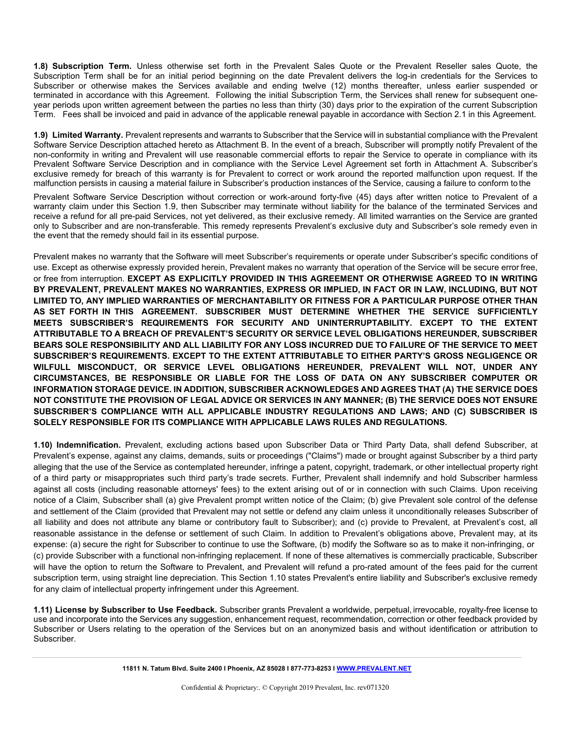**1.8) Subscription Term.** Unless otherwise set forth in the Prevalent Sales Quote or the Prevalent Reseller sales Quote, the Subscription Term shall be for an initial period beginning on the date Prevalent delivers the log-in credentials for the Services to Subscriber or otherwise makes the Services available and ending twelve (12) months thereafter, unless earlier suspended or terminated in accordance with this Agreement. Following the initial Subscription Term, the Services shall renew for subsequent oneyear periods upon written agreement between the parties no less than thirty (30) days prior to the expiration of the current Subscription Term. Fees shall be invoiced and paid in advance of the applicable renewal payable in accordance with Section 2.1 in this Agreement.

**1.9) Limited Warranty.** Prevalent represents and warrants to Subscriber that the Service will in substantial compliance with the Prevalent Software Service Description attached hereto as Attachment B. In the event of a breach, Subscriber will promptly notify Prevalent of the non-conformity in writing and Prevalent will use reasonable commercial efforts to repair the Service to operate in compliance with its Prevalent Software Service Description and in compliance with the Service Level Agreement set forth in Attachment A. Subscriber's exclusive remedy for breach of this warranty is for Prevalent to correct or work around the reported malfunction upon request. If the malfunction persists in causing a material failure in Subscriber's production instances of the Service, causing a failure to conform to the

Prevalent Software Service Description without correction or work-around forty-five (45) days after written notice to Prevalent of a warranty claim under this Section 1.9, then Subscriber may terminate without liability for the balance of the terminated Services and receive a refund for all pre-paid Services, not yet delivered, as their exclusive remedy. All limited warranties on the Service are granted only to Subscriber and are non-transferable. This remedy represents Prevalent's exclusive duty and Subscriber's sole remedy even in the event that the remedy should fail in its essential purpose.

Prevalent makes no warranty that the Software will meet Subscriber's requirements or operate under Subscriber's specific conditions of use. Except as otherwise expressly provided herein, Prevalent makes no warranty that operation of the Service will be secure error free, or free from interruption. **EXCEPT AS EXPLICITLY PROVIDED IN THIS AGREEMENT OR OTHERWISE AGREED TO IN WRITING BY PREVALENT, PREVALENT MAKES NO WARRANTIES, EXPRESS OR IMPLIED, IN FACT OR IN LAW, INCLUDING, BUT NOT LIMITED TO, ANY IMPLIED WARRANTIES OF MERCHANTABILITY OR FITNESS FOR A PARTICULAR PURPOSE OTHER THAN AS SET FORTH IN THIS AGREEMENT. SUBSCRIBER MUST DETERMINE WHETHER THE SERVICE SUFFICIENTLY MEETS SUBSCRIBER'S REQUIREMENTS FOR SECURITY AND UNINTERRUPTABILITY. EXCEPT TO THE EXTENT ATTRIBUTABLE TO A BREACH OF PREVALENT'S SECURITY OR SERVICE LEVEL OBLIGATIONS HEREUNDER, SUBSCRIBER**  BEARS SOLE RESPONSIBILITY AND ALL LIABILITY FOR ANY LOSS INCURRED DUE TO FAILURE OF THE SERVICE TO MEET **SUBSCRIBER'S REQUIREMENTS. EXCEPT TO THE EXTENT ATTRIBUTABLE TO EITHER PARTY'S GROSS NEGLIGENCE OR WILFULL MISCONDUCT, OR SERVICE LEVEL OBLIGATIONS HEREUNDER, PREVALENT WILL NOT, UNDER ANY CIRCUMSTANCES, BE RESPONSIBLE OR LIABLE FOR THE LOSS OF DATA ON ANY SUBSCRIBER COMPUTER OR INFORMATION STORAGE DEVICE. IN ADDITION, SUBSCRIBER ACKNOWLEDGES AND AGREES THAT (A) THE SERVICE DOES**  NOT CONSTITUTE THE PROVISION OF LEGAL ADVICE OR SERVICES IN ANY MANNER; (B) THE SERVICE DOES NOT ENSURE **SUBSCRIBER'S COMPLIANCE WITH ALL APPLICABLE INDUSTRY REGULATIONS AND LAWS; AND (C) SUBSCRIBER IS SOLELY RESPONSIBLE FOR ITS COMPLIANCE WITH APPLICABLE LAWS RULES AND REGULATIONS.**

**1.10) Indemnification.** Prevalent, excluding actions based upon Subscriber Data or Third Party Data, shall defend Subscriber, at Prevalent's expense, against any claims, demands, suits or proceedings ("Claims") made or brought against Subscriber by a third party alleging that the use of the Service as contemplated hereunder, infringe a patent, copyright, trademark, or other intellectual property right of a third party or misappropriates such third party's trade secrets. Further, Prevalent shall indemnify and hold Subscriber harmless against all costs (including reasonable attorneys' fees) to the extent arising out of or in connection with such Claims. Upon receiving notice of a Claim, Subscriber shall (a) give Prevalent prompt written notice of the Claim; (b) give Prevalent sole control of the defense and settlement of the Claim (provided that Prevalent may not settle or defend any claim unless it unconditionally releases Subscriber of all liability and does not attribute any blame or contributory fault to Subscriber); and (c) provide to Prevalent, at Prevalent's cost, all reasonable assistance in the defense or settlement of such Claim. In addition to Prevalent's obligations above, Prevalent may, at its expense: (a) secure the right for Subscriber to continue to use the Software, (b) modify the Software so as to make it non-infringing, or (c) provide Subscriber with a functional non-infringing replacement. If none of these alternatives is commercially practicable, Subscriber will have the option to return the Software to Prevalent, and Prevalent will refund a pro-rated amount of the fees paid for the current subscription term, using straight line depreciation. This Section 1.10 states Prevalent's entire liability and Subscriber's exclusive remedy for any claim of intellectual property infringement under this Agreement.

**1.11) License by Subscriber to Use Feedback.** Subscriber grants Prevalent a worldwide, perpetual, irrevocable, royalty-free license to use and incorporate into the Services any suggestion, enhancement request, recommendation, correction or other feedback provided by Subscriber or Users relating to the operation of the Services but on an anonymized basis and without identification or attribution to Subscriber.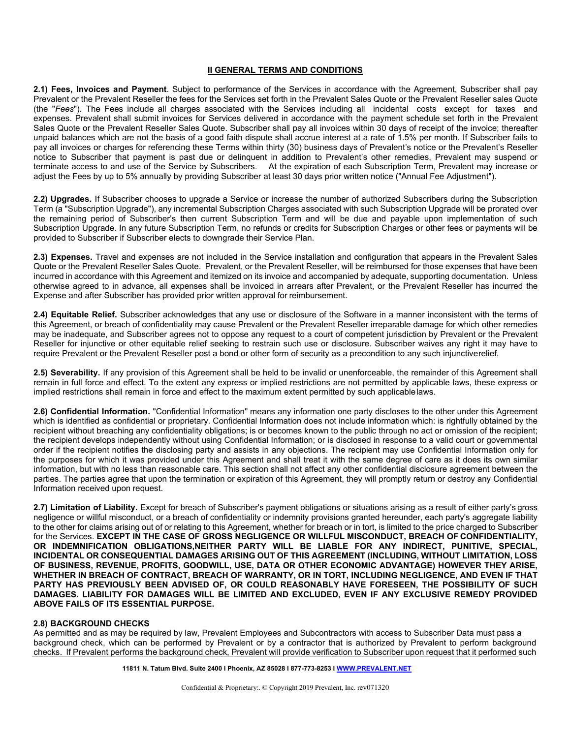## **II GENERAL TERMS AND CONDITIONS**

**2.1) Fees, Invoices and Payment**. Subject to performance of the Services in accordance with the Agreement, Subscriber shall pay Prevalent or the Prevalent Reseller the fees for the Services set forth in the Prevalent Sales Quote or the Prevalent Reseller sales Quote (the "*Fees*"). The Fees include all charges associated with the Services including all incidental costs except for taxes and expenses. Prevalent shall submit invoices for Services delivered in accordance with the payment schedule set forth in the Prevalent Sales Quote or the Prevalent Reseller Sales Quote. Subscriber shall pay all invoices within 30 days of receipt of the invoice; thereafter unpaid balances which are not the basis of a good faith dispute shall accrue interest at a rate of 1.5% per month. If Subscriber fails to pay all invoices or charges for referencing these Terms within thirty (30) business days of Prevalent's notice or the Prevalent's Reseller notice to Subscriber that payment is past due or delinquent in addition to Prevalent's other remedies, Prevalent may suspend or terminate access to and use of the Service by Subscribers. At the expiration of each Subscription Term, Prevalent may increase or adjust the Fees by up to 5% annually by providing Subscriber at least 30 days prior written notice ("Annual Fee Adjustment").

**2.2) Upgrades.** If Subscriber chooses to upgrade a Service or increase the number of authorized Subscribers during the Subscription Term (a "Subscription Upgrade"), any incremental Subscription Charges associated with such Subscription Upgrade will be prorated over the remaining period of Subscriber's then current Subscription Term and will be due and payable upon implementation of such Subscription Upgrade. In any future Subscription Term, no refunds or credits for Subscription Charges or other fees or payments will be provided to Subscriber if Subscriber elects to downgrade their Service Plan.

**2.3) Expenses.** Travel and expenses are not included in the Service installation and configuration that appears in the Prevalent Sales Quote or the Prevalent Reseller Sales Quote. Prevalent, or the Prevalent Reseller, will be reimbursed for those expenses that have been incurred in accordance with this Agreement and itemized on its invoice and accompanied by adequate, supporting documentation. Unless otherwise agreed to in advance, all expenses shall be invoiced in arrears after Prevalent, or the Prevalent Reseller has incurred the Expense and after Subscriber has provided prior written approval for reimbursement.

**2.4) Equitable Relief.** Subscriber acknowledges that any use or disclosure of the Software in a manner inconsistent with the terms of this Agreement, or breach of confidentiality may cause Prevalent or the Prevalent Reseller irreparable damage for which other remedies may be inadequate, and Subscriber agrees not to oppose any request to a court of competent jurisdiction by Prevalent or the Prevalent Reseller for injunctive or other equitable relief seeking to restrain such use or disclosure. Subscriber waives any right it may have to require Prevalent or the Prevalent Reseller post a bond or other form of security as a precondition to any such injunctiverelief.

**2.5) Severability.** If any provision of this Agreement shall be held to be invalid or unenforceable, the remainder of this Agreement shall remain in full force and effect. To the extent any express or implied restrictions are not permitted by applicable laws, these express or implied restrictions shall remain in force and effect to the maximum extent permitted by such applicablelaws.

**2.6) Confidential Information.** "Confidential Information" means any information one party discloses to the other under this Agreement which is identified as confidential or proprietary. Confidential Information does not include information which: is rightfully obtained by the recipient without breaching any confidentiality obligations; is or becomes known to the public through no act or omission of the recipient; the recipient develops independently without using Confidential Information; or is disclosed in response to a valid court or governmental order if the recipient notifies the disclosing party and assists in any objections. The recipient may use Confidential Information only for the purposes for which it was provided under this Agreement and shall treat it with the same degree of care as it does its own similar information, but with no less than reasonable care. This section shall not affect any other confidential disclosure agreement between the parties. The parties agree that upon the termination or expiration of this Agreement, they will promptly return or destroy any Confidential Information received upon request.

**2.7) Limitation of Liability.** Except for breach of Subscriber's payment obligations or situations arising as a result of either party's gross negligence or willful misconduct, or a breach of confidentiality or indemnity provisions granted hereunder, each party's aggregate liability to the other for claims arising out of or relating to this Agreement, whether for breach or in tort, is limited to the price charged to Subscriber for the Services. **EXCEPT IN THE CASE OF GROSS NEGLIGENCE OR WILLFUL MISCONDUCT, BREACH OF CONFIDENTIALITY, OR INDEMNIFICATION OBLIGATIONS,NEITHER PARTY WILL BE LIABLE FOR ANY INDIRECT, PUNITIVE, SPECIAL, INCIDENTAL OR CONSEQUENTIAL DAMAGES ARISING OUT OF THIS AGREEMENT (INCLUDING, WITHOUT LIMITATION, LOSS OF BUSINESS, REVENUE, PROFITS, GOODWILL, USE, DATA OR OTHER ECONOMIC ADVANTAGE) HOWEVER THEY ARISE, WHETHER IN BREACH OF CONTRACT, BREACH OF WARRANTY, OR IN TORT, INCLUDING NEGLIGENCE, AND EVEN IF THAT PARTY HAS PREVIOUSLY BEEN ADVISED OF, OR COULD REASONABLY HAVE FORESEEN, THE POSSIBILITY OF SUCH DAMAGES. LIABILITY FOR DAMAGES WILL BE LIMITED AND EXCLUDED, EVEN IF ANY EXCLUSIVE REMEDY PROVIDED ABOVE FAILS OF ITS ESSENTIAL PURPOSE.**

#### **2.8) BACKGROUND CHECKS**

As permitted and as may be required by law, Prevalent Employees and Subcontractors with access to Subscriber Data must pass a background check, which can be performed by Prevalent or by a contractor that is authorized by Prevalent to perform background checks. If Prevalent performs the background check, Prevalent will provide verification to Subscriber upon request that it performed such

**11811 N. Tatum Blvd. Suite 2400 I Phoenix, AZ 85028 I 877-773-8253 [I WWW.PREVALENT.NET](http://www.prevalent.net/)**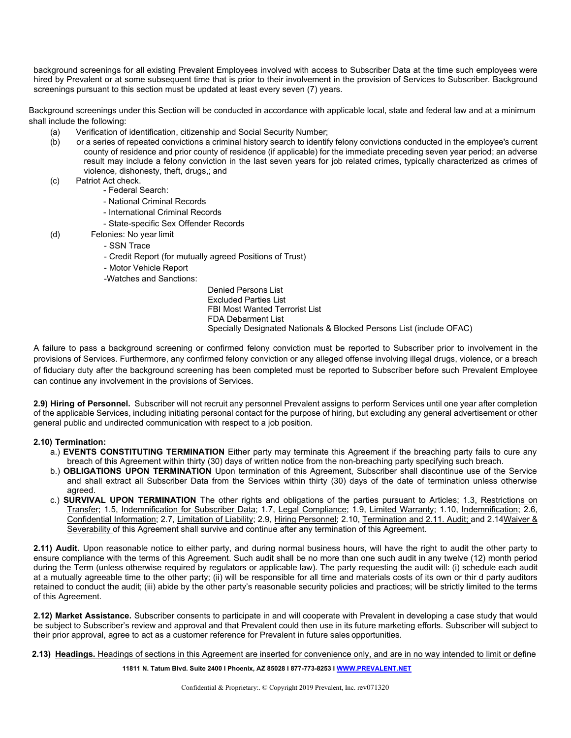background screenings for all existing Prevalent Employees involved with access to Subscriber Data at the time such employees were hired by Prevalent or at some subsequent time that is prior to their involvement in the provision of Services to Subscriber. Background screenings pursuant to this section must be updated at least every seven (7) years.

Background screenings under this Section will be conducted in accordance with applicable local, state and federal law and at a minimum shall include the following:

- (a) Verification of identification, citizenship and Social Security Number;
- (b) or a series of repeated convictions a criminal history search to identify felony convictions conducted in the employee's current county of residence and prior county of residence (if applicable) for the immediate preceding seven year period; an adverse result may include a felony conviction in the last seven years for job related crimes, typically characterized as crimes of violence, dishonesty, theft, drugs,; and
- (c) Patriot Act check.
	- Federal Search:
		- National Criminal Records
		- International Criminal Records
		- State-specific Sex Offender Records
- (d) Felonies: No year limit
	- SSN Trace
	- Credit Report (for mutually agreed Positions of Trust)
	- Motor Vehicle Report
	- -Watches and Sanctions:

Denied Persons List Excluded Parties List FBI Most Wanted Terrorist List FDA Debarment List Specially Designated Nationals & Blocked Persons List (include OFAC)

A failure to pass a background screening or confirmed felony conviction must be reported to Subscriber prior to involvement in the provisions of Services. Furthermore, any confirmed felony conviction or any alleged offense involving illegal drugs, violence, or a breach of fiduciary duty after the background screening has been completed must be reported to Subscriber before such Prevalent Employee can continue any involvement in the provisions of Services.

**2.9) Hiring of Personnel.** Subscriber will not recruit any personnel Prevalent assigns to perform Services until one year after completion of the applicable Services, including initiating personal contact for the purpose of hiring, but excluding any general advertisement or other general public and undirected communication with respect to a job position.

## **2.10) Termination:**

- a.) **EVENTS CONSTITUTING TERMINATION** Either party may terminate this Agreement if the breaching party fails to cure any breach of this Agreement within thirty (30) days of written notice from the non-breaching party specifying such breach.
- b.) **OBLIGATIONS UPON TERMINATION** Upon termination of this Agreement, Subscriber shall discontinue use of the Service and shall extract all Subscriber Data from the Services within thirty (30) days of the date of termination unless otherwise agreed.
- c.) **SURVIVAL UPON TERMINATION** The other rights and obligations of the parties pursuant to Articles; 1.3, Restrictions on Transfer; 1.5, Indemnification for Subscriber Data; 1.7, Legal Compliance; 1.9, Limited Warranty; 1.10, Indemnification; 2.6, Confidential Information; 2.7, Limitation of Liability; 2.9, Hiring Personnel; 2.10, Termination and 2.11. Audit; and 2.14Waiver & Severability of this Agreement shall survive and continue after any termination of this Agreement.

**2.11) Audit.** Upon reasonable notice to either party, and during normal business hours, will have the right to audit the other party to ensure compliance with the terms of this Agreement. Such audit shall be no more than one such audit in any twelve (12) month period during the Term (unless otherwise required by regulators or applicable law). The party requesting the audit will: (i) schedule each audit at a mutually agreeable time to the other party; (ii) will be responsible for all time and materials costs of its own or thir d party auditors retained to conduct the audit; (iii) abide by the other party's reasonable security policies and practices; will be strictly limited to the terms of this Agreement.

**2.12) Market Assistance.** Subscriber consents to participate in and will cooperate with Prevalent in developing a case study that would be subject to Subscriber's review and approval and that Prevalent could then use in its future marketing efforts. Subscriber will subject to their prior approval, agree to act as a customer reference for Prevalent in future sales opportunities.

**2.13) Headings.** Headings of sections in this Agreement are inserted for convenience only, and are in no way intended to limit or define

#### **11811 N. Tatum Blvd. Suite 2400 I Phoenix, AZ 85028 I 877-773-8253 [I WWW.PREVALENT.NET](http://www.prevalent.net/)**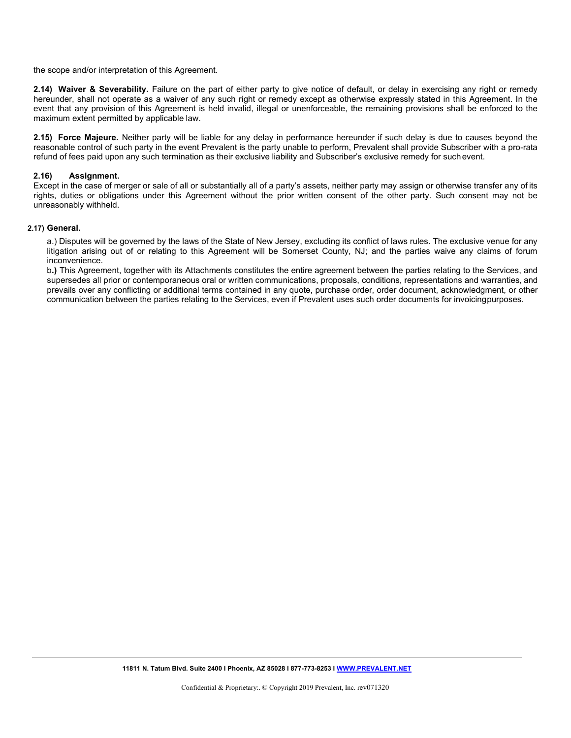the scope and/or interpretation of this Agreement.

**2.14) Waiver & Severability.** Failure on the part of either party to give notice of default, or delay in exercising any right or remedy hereunder, shall not operate as a waiver of any such right or remedy except as otherwise expressly stated in this Agreement. In the event that any provision of this Agreement is held invalid, illegal or unenforceable, the remaining provisions shall be enforced to the maximum extent permitted by applicable law.

**2.15) Force Majeure.** Neither party will be liable for any delay in performance hereunder if such delay is due to causes beyond the reasonable control of such party in the event Prevalent is the party unable to perform, Prevalent shall provide Subscriber with a pro-rata refund of fees paid upon any such termination as their exclusive liability and Subscriber's exclusive remedy for suchevent.

#### **2.16) Assignment.**

Except in the case of merger or sale of all or substantially all of a party's assets, neither party may assign or otherwise transfer any of its rights, duties or obligations under this Agreement without the prior written consent of the other party. Such consent may not be unreasonably withheld.

#### **2.17) General.**

a.) Disputes will be governed by the laws of the State of New Jersey, excluding its conflict of laws rules. The exclusive venue for any litigation arising out of or relating to this Agreement will be Somerset County, NJ; and the parties waive any claims of forum inconvenience.

b**.)** This Agreement, together with its Attachments constitutes the entire agreement between the parties relating to the Services, and supersedes all prior or contemporaneous oral or written communications, proposals, conditions, representations and warranties, and prevails over any conflicting or additional terms contained in any quote, purchase order, order document, acknowledgment, or other communication between the parties relating to the Services, even if Prevalent uses such order documents for invoicingpurposes.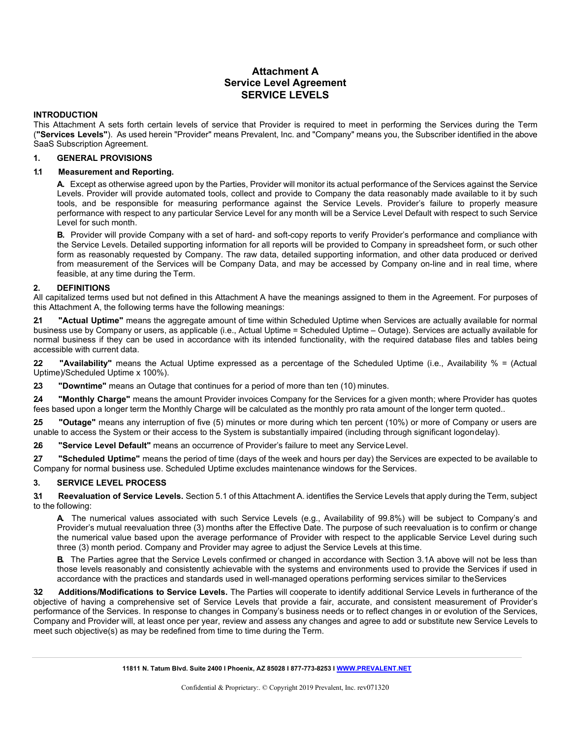## **Attachment A Service Level Agreement SERVICE LEVELS**

#### **INTRODUCTION**

This Attachment A sets forth certain levels of service that Provider is required to meet in performing the Services during the Term (**"Services Levels"**). As used herein "Provider" means Prevalent, Inc. and "Company" means you, the Subscriber identified in the above SaaS Subscription Agreement.

### **1. GENERAL PROVISIONS**

#### **1.1 Measurement and Reporting.**

A. Except as otherwise agreed upon by the Parties, Provider will monitor its actual performance of the Services against the Service Levels. Provider will provide automated tools, collect and provide to Company the data reasonably made available to it by such tools, and be responsible for measuring performance against the Service Levels. Provider's failure to properly measure performance with respect to any particular Service Level for any month will be a Service Level Default with respect to such Service Level for such month.

**B.** Provider will provide Company with a set of hard- and soft-copy reports to verify Provider's performance and compliance with the Service Levels. Detailed supporting information for all reports will be provided to Company in spreadsheet form, or such other form as reasonably requested by Company. The raw data, detailed supporting information, and other data produced or derived from measurement of the Services will be Company Data, and may be accessed by Company on-line and in real time, where feasible, at any time during the Term.

#### **2. DEFINITIONS**

All capitalized terms used but not defined in this Attachment A have the meanings assigned to them in the Agreement. For purposes of this Attachment A, the following terms have the following meanings:

**2.1 "Actual Uptime"** means the aggregate amount of time within Scheduled Uptime when Services are actually available for normal business use by Company or users, as applicable (i.e., Actual Uptime = Scheduled Uptime – Outage). Services are actually available for normal business if they can be used in accordance with its intended functionality, with the required database files and tables being accessible with current data.

**2.2 "Availability"** means the Actual Uptime expressed as a percentage of the Scheduled Uptime (i.e., Availability % = (Actual Uptime)/Scheduled Uptime x 100%).

**2.3 "Downtime"** means an Outage that continues for a period of more than ten (10) minutes.

**2.4 "Monthly Charge"** means the amount Provider invoices Company for the Services for a given month; where Provider has quotes fees based upon a longer term the Monthly Charge will be calculated as the monthly pro rata amount of the longer term quoted..

**2.5 "Outage"** means any interruption of five (5) minutes or more during which ten percent (10%) or more of Company or users are unable to access the System or their access to the System is substantially impaired (including through significant logondelay).

**2.6 "Service Level Default"** means an occurrence of Provider's failure to meet any Service Level.

**2.7 "Scheduled Uptime"** means the period of time (days of the week and hours per day) the Services are expected to be available to Company for normal business use. Scheduled Uptime excludes maintenance windows for the Services.

## **3. SERVICE LEVEL PROCESS**

**3.1 Reevaluation of Service Levels.** Section 5.1 of this Attachment A. identifies the Service Levels that apply during the Term, subject to the following:

**A.** The numerical values associated with such Service Levels (e.g., Availability of 99.8%) will be subject to Company's and Provider's mutual reevaluation three (3) months after the Effective Date. The purpose of such reevaluation is to confirm or change the numerical value based upon the average performance of Provider with respect to the applicable Service Level during such three (3) month period. Company and Provider may agree to adjust the Service Levels at this time.

**B.** The Parties agree that the Service Levels confirmed or changed in accordance with Section 3.1A above will not be less than those levels reasonably and consistently achievable with the systems and environments used to provide the Services if used in accordance with the practices and standards used in well-managed operations performing services similar to theServices

**3.2 Additions/Modifications to Service Levels.** The Parties will cooperate to identify additional Service Levels in furtherance of the objective of having a comprehensive set of Service Levels that provide a fair, accurate, and consistent measurement of Provider's performance of the Services. In response to changes in Company's business needs or to reflect changes in or evolution of the Services, Company and Provider will, at least once per year, review and assess any changes and agree to add or substitute new Service Levels to meet such objective(s) as may be redefined from time to time during the Term.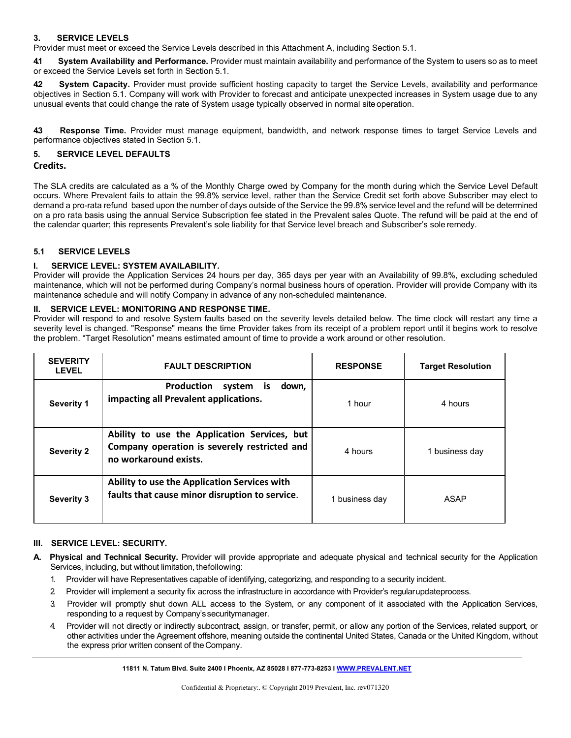## **3. SERVICE LEVELS**

Provider must meet or exceed the Service Levels described in this Attachment A, including Section 5.1.

**4.1 System Availability and Performance.** Provider must maintain availability and performance of the System to users so as to meet or exceed the Service Levels set forth in Section 5.1.

**4.2 System Capacity.** Provider must provide sufficient hosting capacity to target the Service Levels, availability and performance objectives in Section 5.1. Company will work with Provider to forecast and anticipate unexpected increases in System usage due to any unusual events that could change the rate of System usage typically observed in normal site operation.

**4.3 Response Time.** Provider must manage equipment, bandwidth, and network response times to target Service Levels and performance objectives stated in Section 5.1.

## **5. SERVICE LEVEL DEFAULTS**

### **Credits.**

The SLA credits are calculated as a % of the Monthly Charge owed by Company for the month during which the Service Level Default occurs. Where Prevalent fails to attain the 99.8% service level, rather than the Service Credit set forth above Subscriber may elect to demand a pro-rata refund based upon the number of days outside of the Service the 99.8% service level and the refund will be determined on a pro rata basis using the annual Service Subscription fee stated in the Prevalent sales Quote. The refund will be paid at the end of the calendar quarter; this represents Prevalent's sole liability for that Service level breach and Subscriber's sole remedy.

## **5.1 SERVICE LEVELS**

## **I. SERVICE LEVEL: SYSTEM AVAILABILITY.**

Provider will provide the Application Services 24 hours per day, 365 days per year with an Availability of 99.8%, excluding scheduled maintenance, which will not be performed during Company's normal business hours of operation. Provider will provide Company with its maintenance schedule and will notify Company in advance of any non-scheduled maintenance.

## **II. SERVICE LEVEL: MONITORING AND RESPONSE TIME.**

Provider will respond to and resolve System faults based on the severity levels detailed below. The time clock will restart any time a severity level is changed. "Response" means the time Provider takes from its receipt of a problem report until it begins work to resolve the problem. "Target Resolution" means estimated amount of time to provide a work around or other resolution.

| <b>SEVERITY</b><br><b>LEVEL</b> | <b>FAULT DESCRIPTION</b>                                                                                              | <b>RESPONSE</b> | <b>Target Resolution</b> |
|---------------------------------|-----------------------------------------------------------------------------------------------------------------------|-----------------|--------------------------|
| Severity 1                      | <b>Production</b><br>system is<br>down,<br>impacting all Prevalent applications.                                      | 1 hour          | 4 hours                  |
| <b>Severity 2</b>               | Ability to use the Application Services, but<br>Company operation is severely restricted and<br>no workaround exists. | 4 hours         | 1 business day           |
| <b>Severity 3</b>               | Ability to use the Application Services with<br>faults that cause minor disruption to service.                        | 1 business day  | ASAP                     |

#### **III. SERVICE LEVEL: SECURITY.**

- **A. Physical and Technical Security.** Provider will provide appropriate and adequate physical and technical security for the Application Services, including, but without limitation, thefollowing:
	- 1. Provider will have Representatives capable of identifying, categorizing, and responding to a security incident.
	- 2. Provider will implement a security fix across the infrastructure in accordance with Provider's regularupdateprocess.
	- 3. Provider will promptly shut down ALL access to the System, or any component of it associated with the Application Services, responding to a request by Company's securitymanager.
	- 4. Provider will not directly or indirectly subcontract, assign, or transfer, permit, or allow any portion of the Services, related support, or other activities under the Agreement offshore, meaning outside the continental United States, Canada or the United Kingdom, without the express prior written consent of theCompany.

**11811 N. Tatum Blvd. Suite 2400 I Phoenix, AZ 85028 I 877-773-8253 [I WWW.PREVALENT.NET](http://www.prevalent.net/)**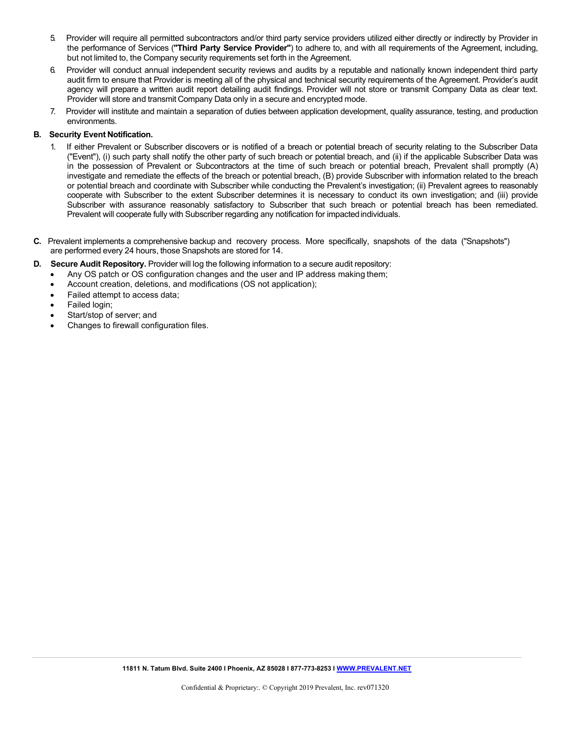- 5. Provider will require all permitted subcontractors and/or third party service providers utilized either directly or indirectly by Provider in the performance of Services (**"Third Party Service Provider"**) to adhere to, and with all requirements of the Agreement, including, but not limited to, the Company security requirements set forth in the Agreement.
- 6. Provider will conduct annual independent security reviews and audits by a reputable and nationally known independent third party audit firm to ensure that Provider is meeting all of the physical and technical security requirements of the Agreement. Provider's audit agency will prepare a written audit report detailing audit findings. Provider will not store or transmit Company Data as clear text. Provider will store and transmit Company Data only in a secure and encrypted mode.
- 7. Provider will institute and maintain a separation of duties between application development, quality assurance, testing, and production environments.

#### **B. Security Event Notification.**

- If either Prevalent or Subscriber discovers or is notified of a breach or potential breach of security relating to the Subscriber Data ("Event"), (i) such party shall notify the other party of such breach or potential breach, and (ii) if the applicable Subscriber Data was in the possession of Prevalent or Subcontractors at the time of such breach or potential breach, Prevalent shall promptly (A) investigate and remediate the effects of the breach or potential breach, (B) provide Subscriber with information related to the breach or potential breach and coordinate with Subscriber while conducting the Prevalent's investigation; (ii) Prevalent agrees to reasonably cooperate with Subscriber to the extent Subscriber determines it is necessary to conduct its own investigation; and (iii) provide Subscriber with assurance reasonably satisfactory to Subscriber that such breach or potential breach has been remediated. Prevalent will cooperate fully with Subscriber regarding any notification for impacted individuals.
- **C.** Prevalent implements a comprehensive backup and recovery process. More specifically, snapshots of the data ("Snapshots") are performed every 24 hours, those Snapshots are stored for 14.
- **D. Secure Audit Repository.** Provider will log the following information to a secure audit repository:
	- Any OS patch or OS configuration changes and the user and IP address making them;
	- Account creation, deletions, and modifications (OS not application);
	- Failed attempt to access data;
	- Failed login;
	- Start/stop of server; and
	- Changes to firewall configuration files.